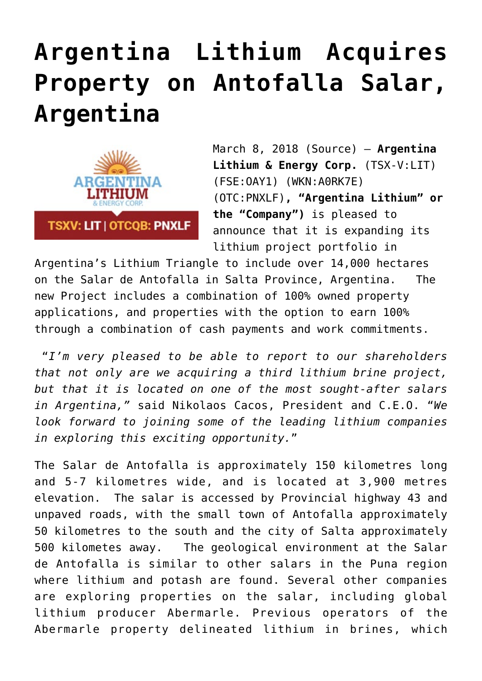## **[Argentina Lithium Acquires](https://investorintel.com/markets/technology-metals/technology-metals-news/argentina-lithium-acquires-property-antofalla-salar-argentina/) [Property on Antofalla Salar,](https://investorintel.com/markets/technology-metals/technology-metals-news/argentina-lithium-acquires-property-antofalla-salar-argentina/) [Argentina](https://investorintel.com/markets/technology-metals/technology-metals-news/argentina-lithium-acquires-property-antofalla-salar-argentina/)**



March 8, 2018 ([Source\)](https://investorintel.com/iintel-members/argentina-lithium-energy-corp-2/) — **Argentina Lithium & Energy Corp.** (TSX-V:[LIT](http://www.globenewswire.com/News/Listing?symbol=LIT&exchange=15)) (FSE:OAY1) (WKN:A0RK7E) (OTC:PNXLF)**, "Argentina Lithium" or the "Company")** is pleased to announce that it is expanding its lithium project portfolio in

Argentina's Lithium Triangle to include over 14,000 hectares on the Salar de Antofalla in Salta Province, Argentina. The new Project includes a combination of 100% owned property applications, and properties with the option to earn 100% through a combination of cash payments and work commitments.

 "*I'm very pleased to be able to report to our shareholders that not only are we acquiring a third lithium brine project, but that it is located on one of the most sought-after salars in Argentina,"* said Nikolaos Cacos, President and C.E.O. "*We look forward to joining some of the leading lithium companies in exploring this exciting opportunity.*"

The Salar de Antofalla is approximately 150 kilometres long and 5-7 kilometres wide, and is located at 3,900 metres elevation. The salar is accessed by Provincial highway 43 and unpaved roads, with the small town of Antofalla approximately 50 kilometres to the south and the city of Salta approximately 500 kilometes away. The geological environment at the Salar de Antofalla is similar to other salars in the Puna region where lithium and potash are found. Several other companies are exploring properties on the salar, including global lithium producer Abermarle. Previous operators of the Abermarle property delineated lithium in brines, which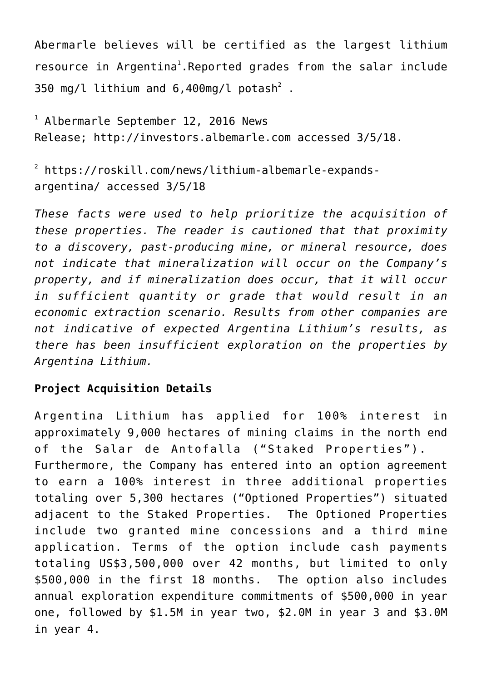Abermarle believes will be certified as the largest lithium resource in Argentina<sup>1</sup>. Reported grades from the salar include 350 mg/l lithium and 6,400mg/l potash $^2$  .

1 Albermarle September 12, 2016 News Release; [http://investors.albemarle.com](https://www.globenewswire.com/Tracker?data=LUcukw4e4ZE8Jr91NUhpWMKvi0rVNXNqVHfQcsbwW34c1sfptKYyPwKGWbuhZEeleYmPa8ZTuj650hqIX4YszpgyTGvL4zGuZ-uQ4IlkUKHZLkhJD9P0Ha8QxzoAw9Zz) accessed 3/5/18.

2 [https://roskill.com/news/lithium-albemarle-expands](https://www.globenewswire.com/Tracker?data=E_B5oTOvTT66mw4UaHgTOKX9atZMUFD07zWOVTF53ZO-tHrci6kiLRrP2AzoOYP4lfK2KAfEAVvyy9w2hiZ1EMhrhRic9-X0metin6DIODiYCBl_AXHooKz8CVIS2XLvlwyAqBumdWNpuKdjDD0MadJEw9j021_m7C_U7rYNVw-t2242LIavMqaOhudvfi_w)[argentina/](https://www.globenewswire.com/Tracker?data=E_B5oTOvTT66mw4UaHgTOKX9atZMUFD07zWOVTF53ZO-tHrci6kiLRrP2AzoOYP4lfK2KAfEAVvyy9w2hiZ1EMhrhRic9-X0metin6DIODiYCBl_AXHooKz8CVIS2XLvlwyAqBumdWNpuKdjDD0MadJEw9j021_m7C_U7rYNVw-t2242LIavMqaOhudvfi_w) accessed 3/5/18

*These facts were used to help prioritize the acquisition of these properties. The reader is cautioned that that proximity to a discovery, past-producing mine, or mineral resource, does not indicate that mineralization will occur on the Company's property, and if mineralization does occur, that it will occur in sufficient quantity or grade that would result in an economic extraction scenario. Results from other companies are not indicative of expected Argentina Lithium's results, as there has been insufficient exploration on the properties by Argentina Lithium.*

## **Project Acquisition Details**

Argentina Lithium has applied for 100% interest in approximately 9,000 hectares of mining claims in the north end of the Salar de Antofalla ("Staked Properties"). Furthermore, the Company has entered into an option agreement to earn a 100% interest in three additional properties totaling over 5,300 hectares ("Optioned Properties") situated adjacent to the Staked Properties. The Optioned Properties include two granted mine concessions and a third mine application. Terms of the option include cash payments totaling US\$3,500,000 over 42 months, but limited to only \$500,000 in the first 18 months. The option also includes annual exploration expenditure commitments of \$500,000 in year one, followed by \$1.5M in year two, \$2.0M in year 3 and \$3.0M in year 4.